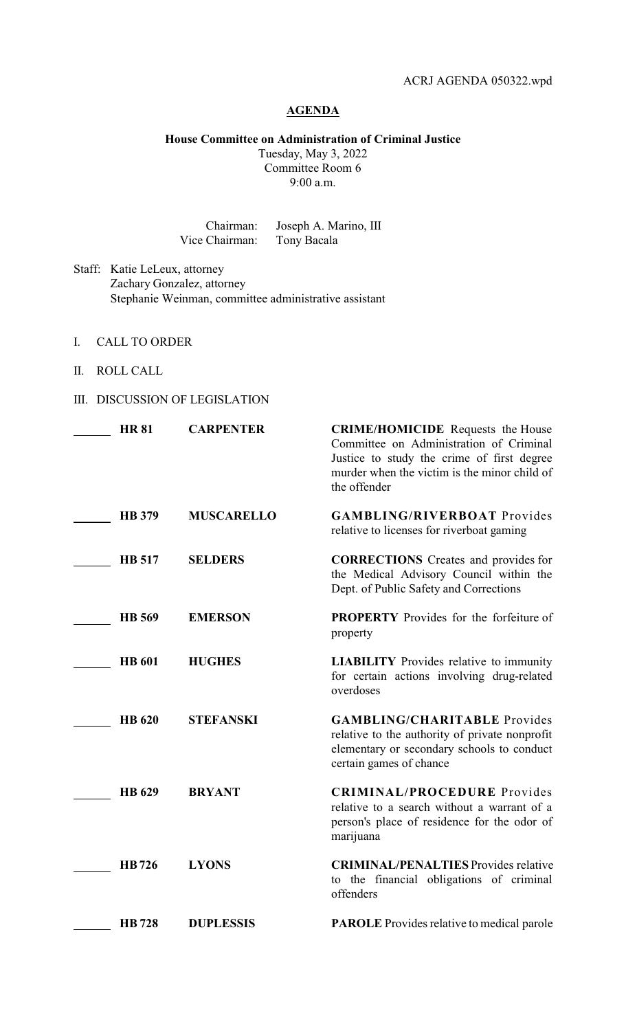## **AGENDA**

**House Committee on Administration of Criminal Justice**

Tuesday, May 3, 2022 Committee Room 6 9:00 a.m.

Chairman: Joseph A. Marino, III Vice Chairman: Tony Bacala

- Staff: Katie LeLeux, attorney Zachary Gonzalez, attorney Stephanie Weinman, committee administrative assistant
- I. CALL TO ORDER
- II. ROLL CALL
- III. DISCUSSION OF LEGISLATION

| <b>HR 81</b>  | <b>CARPENTER</b>  | <b>CRIME/HOMICIDE</b> Requests the House<br>Committee on Administration of Criminal<br>Justice to study the crime of first degree<br>murder when the victim is the minor child of<br>the offender |
|---------------|-------------------|---------------------------------------------------------------------------------------------------------------------------------------------------------------------------------------------------|
| <b>HB</b> 379 | <b>MUSCARELLO</b> | <b>GAMBLING/RIVERBOAT Provides</b><br>relative to licenses for riverboat gaming                                                                                                                   |
| <b>HB</b> 517 | <b>SELDERS</b>    | <b>CORRECTIONS</b> Creates and provides for<br>the Medical Advisory Council within the<br>Dept. of Public Safety and Corrections                                                                  |
| HB 569        | <b>EMERSON</b>    | <b>PROPERTY</b> Provides for the forfeiture of<br>property                                                                                                                                        |
| <b>HB</b> 601 | <b>HUGHES</b>     | <b>LIABILITY</b> Provides relative to immunity<br>for certain actions involving drug-related<br>overdoses                                                                                         |
| <b>HB</b> 620 | <b>STEFANSKI</b>  | <b>GAMBLING/CHARITABLE Provides</b><br>relative to the authority of private nonprofit<br>elementary or secondary schools to conduct<br>certain games of chance                                    |
| HB 629        | <b>BRYANT</b>     | <b>CRIMINAL/PROCEDURE</b> Provides<br>relative to a search without a warrant of a<br>person's place of residence for the odor of<br>marijuana                                                     |
| HB726         | <b>LYONS</b>      | <b>CRIMINAL/PENALTIES</b> Provides relative<br>to the financial obligations of criminal<br>offenders                                                                                              |
| <b>HB</b> 728 | <b>DUPLESSIS</b>  | <b>PAROLE</b> Provides relative to medical parole                                                                                                                                                 |